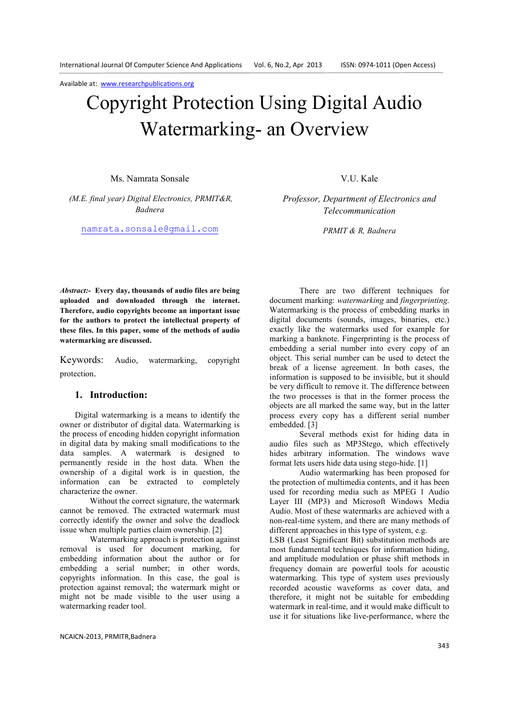# Copyright Protection Using Digital Audio Watermarking- an Overview

Ms. Namrata Sonsale

*(M.E. final year) Digital Electronics, PRMIT&R, Badnera* 

namrata.sonsale@gmail.com

V.U. Kale

*Professor, Department of Electronics and Telecommunication* 

*PRMIT & R, Badnera* 

*Abstract:-* **Every day, thousands of audio files are being uploaded and downloaded through the internet. Therefore, audio copyrights become an important issue for the authors to protect the intellectual property of these files. In this paper, some of the methods of audio watermarking are discussed.**

Keywords: Audio, watermarking, copyright protection.

# **1. Introduction:**

Digital watermarking is a means to identify the owner or distributor of digital data. Watermarking is the process of encoding hidden copyright information in digital data by making small modifications to the data samples. A watermark is designed to permanently reside in the host data. When the ownership of a digital work is in question, the information can be extracted to completely characterize the owner.

Without the correct signature, the watermark cannot be removed. The extracted watermark must correctly identify the owner and solve the deadlock issue when multiple parties claim ownership. [2]

Watermarking approach is protection against removal is used for document marking, for embedding information about the author or for embedding a serial number; in other words, copyrights information. In this case, the goal is protection against removal; the watermark might or might not be made visible to the user using a watermarking reader tool.

There are two different techniques for document marking: *watermarking* and *fingerprinting*. Watermarking is the process of embedding marks in digital documents (sounds, images, binaries, etc.) exactly like the watermarks used for example for marking a banknote. Fingerprinting is the process of embedding a serial number into every copy of an object. This serial number can be used to detect the break of a license agreement. In both cases, the information is supposed to be invisible, but it should be very difficult to remove it. The difference between the two processes is that in the former process the objects are all marked the same way, but in the latter process every copy has a different serial number embedded. [3]

 Several methods exist for hiding data in audio files such as MP3Stego, which effectively hides arbitrary information. The windows wave format lets users hide data using stego-hide. [1]

Audio watermarking has been proposed for the protection of multimedia contents, and it has been used for recording media such as MPEG 1 Audio Layer III (MP3) and Microsoft Windows Media Audio. Most of these watermarks are achieved with a non-real-time system, and there are many methods of different approaches in this type of system, e.g.

LSB (Least Significant Bit) substitution methods are most fundamental techniques for information hiding, and amplitude modulation or phase shift methods in frequency domain are powerful tools for acoustic watermarking. This type of system uses previously recorded acoustic waveforms as cover data, and therefore, it might not be suitable for embedding watermark in real-time, and it would make difficult to use it for situations like live-performance, where the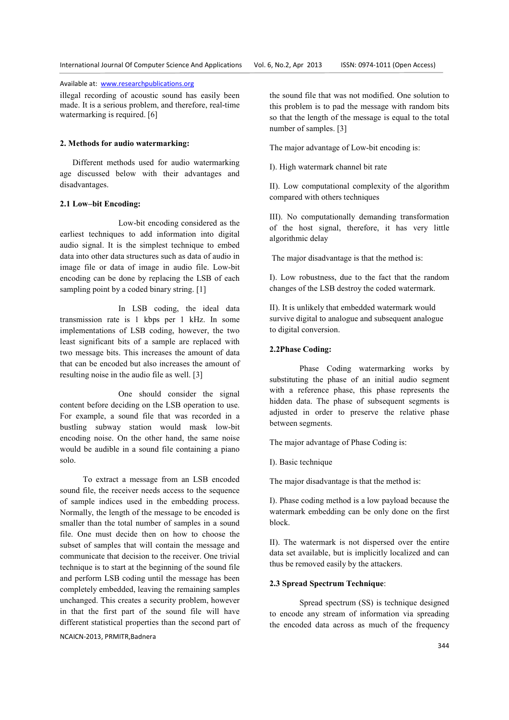illegal recording of acoustic sound has easily been made. It is a serious problem, and therefore, real-time watermarking is required. [6]

#### **2. Methods for audio watermarking:**

 Different methods used for audio watermarking age discussed below with their advantages and disadvantages.

#### **2.1 Low–bit Encoding:**

 Low-bit encoding considered as the earliest techniques to add information into digital audio signal. It is the simplest technique to embed data into other data structures such as data of audio in image file or data of image in audio file. Low-bit encoding can be done by replacing the LSB of each sampling point by a coded binary string. [1]

 In LSB coding, the ideal data transmission rate is 1 kbps per 1 kHz. In some implementations of LSB coding, however, the two least significant bits of a sample are replaced with two message bits. This increases the amount of data that can be encoded but also increases the amount of resulting noise in the audio file as well. [3]

 One should consider the signal content before deciding on the LSB operation to use. For example, a sound file that was recorded in a bustling subway station would mask low-bit encoding noise. On the other hand, the same noise would be audible in a sound file containing a piano solo.

 To extract a message from an LSB encoded sound file, the receiver needs access to the sequence of sample indices used in the embedding process. Normally, the length of the message to be encoded is smaller than the total number of samples in a sound file. One must decide then on how to choose the subset of samples that will contain the message and communicate that decision to the receiver. One trivial technique is to start at the beginning of the sound file and perform LSB coding until the message has been completely embedded, leaving the remaining samples unchanged. This creates a security problem, however in that the first part of the sound file will have different statistical properties than the second part of

## NCAICN-2013, PRMITR,Badnera

the sound file that was not modified. One solution to this problem is to pad the message with random bits so that the length of the message is equal to the total number of samples. [3]

The major advantage of Low-bit encoding is:

I). High watermark channel bit rate

II). Low computational complexity of the algorithm compared with others techniques

III). No computationally demanding transformation of the host signal, therefore, it has very little algorithmic delay

The major disadvantage is that the method is:

I). Low robustness, due to the fact that the random changes of the LSB destroy the coded watermark.

II). It is unlikely that embedded watermark would survive digital to analogue and subsequent analogue to digital conversion.

## **2.2Phase Coding:**

Phase Coding watermarking works by substituting the phase of an initial audio segment with a reference phase, this phase represents the hidden data. The phase of subsequent segments is adjusted in order to preserve the relative phase between segments.

The major advantage of Phase Coding is:

I). Basic technique

The major disadvantage is that the method is:

I). Phase coding method is a low payload because the watermark embedding can be only done on the first block.

II). The watermark is not dispersed over the entire data set available, but is implicitly localized and can thus be removed easily by the attackers.

#### **2.3 Spread Spectrum Technique**:

Spread spectrum (SS) is technique designed to encode any stream of information via spreading the encoded data across as much of the frequency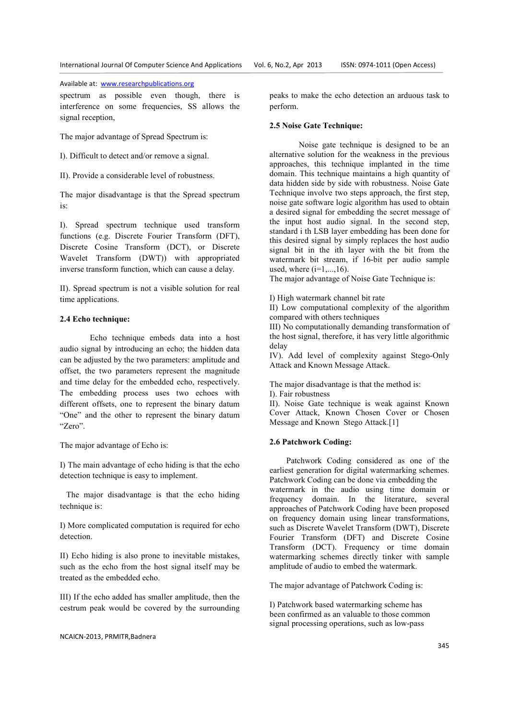spectrum as possible even though, there is interference on some frequencies, SS allows the signal reception,

The major advantage of Spread Spectrum is:

I). Difficult to detect and/or remove a signal.

II). Provide a considerable level of robustness.

The major disadvantage is that the Spread spectrum is:

I). Spread spectrum technique used transform functions (e.g. Discrete Fourier Transform (DFT), Discrete Cosine Transform (DCT), or Discrete Wavelet Transform (DWT)) with appropriated inverse transform function, which can cause a delay.

II). Spread spectrum is not a visible solution for real time applications.

### **2.4 Echo technique:**

Echo technique embeds data into a host audio signal by introducing an echo; the hidden data can be adjusted by the two parameters: amplitude and offset, the two parameters represent the magnitude and time delay for the embedded echo, respectively. The embedding process uses two echoes with different offsets, one to represent the binary datum "One" and the other to represent the binary datum "Zero".

The major advantage of Echo is:

I) The main advantage of echo hiding is that the echo detection technique is easy to implement.

 The major disadvantage is that the echo hiding technique is:

I) More complicated computation is required for echo detection.

II) Echo hiding is also prone to inevitable mistakes, such as the echo from the host signal itself may be treated as the embedded echo.

III) If the echo added has smaller amplitude, then the cestrum peak would be covered by the surrounding

peaks to make the echo detection an arduous task to perform.

#### **2.5 Noise Gate Technique:**

 Noise gate technique is designed to be an alternative solution for the weakness in the previous approaches, this technique implanted in the time domain. This technique maintains a high quantity of data hidden side by side with robustness. Noise Gate Technique involve two steps approach, the first step, noise gate software logic algorithm has used to obtain a desired signal for embedding the secret message of the input host audio signal. In the second step, standard i th LSB layer embedding has been done for this desired signal by simply replaces the host audio signal bit in the ith layer with the bit from the watermark bit stream, if 16-bit per audio sample used, where  $(i=1, 16)$ .

The major advantage of Noise Gate Technique is:

I) High watermark channel bit rate

II) Low computational complexity of the algorithm compared with others techniques

III) No computationally demanding transformation of the host signal, therefore, it has very little algorithmic delay

IV). Add level of complexity against Stego-Only Attack and Known Message Attack.

The major disadvantage is that the method is:

I). Fair robustness

II). Noise Gate technique is weak against Known Cover Attack, Known Chosen Cover or Chosen Message and Known Stego Attack.[1]

## **2.6 Patchwork Coding:**

 Patchwork Coding considered as one of the earliest generation for digital watermarking schemes. Patchwork Coding can be done via embedding the watermark in the audio using time domain or frequency domain. In the literature, several approaches of Patchwork Coding have been proposed on frequency domain using linear transformations, such as Discrete Wavelet Transform (DWT), Discrete Fourier Transform (DFT) and Discrete Cosine Transform (DCT). Frequency or time domain watermarking schemes directly tinker with sample amplitude of audio to embed the watermark.

The major advantage of Patchwork Coding is:

I) Patchwork based watermarking scheme has been confirmed as an valuable to those common signal processing operations, such as low-pass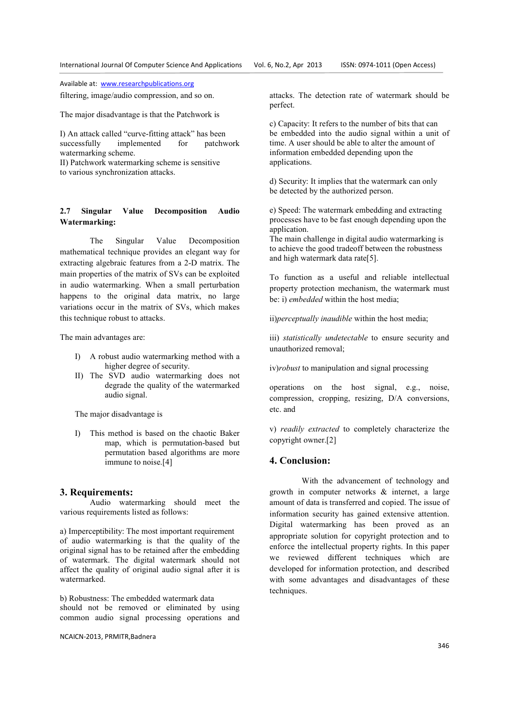filtering, image/audio compression, and so on.

The major disadvantage is that the Patchwork is

I) An attack called "curve-fitting attack" has been successfully implemented for patchwork watermarking scheme. II) Patchwork watermarking scheme is sensitive

to various synchronization attacks.

# **2.7 Singular Value Decomposition Audio Watermarking:**

The Singular Value Decomposition mathematical technique provides an elegant way for extracting algebraic features from a 2-D matrix. The main properties of the matrix of SVs can be exploited in audio watermarking. When a small perturbation happens to the original data matrix, no large variations occur in the matrix of SVs, which makes this technique robust to attacks.

The main advantages are:

- I) A robust audio watermarking method with a higher degree of security.
- II) The SVD audio watermarking does not degrade the quality of the watermarked audio signal.

The major disadvantage is

I) This method is based on the chaotic Baker map, which is permutation-based but permutation based algorithms are more immune to noise.[4]

# **3. Requirements:**

 Audio watermarking should meet the various requirements listed as follows:

a) Imperceptibility: The most important requirement of audio watermarking is that the quality of the original signal has to be retained after the embedding of watermark. The digital watermark should not affect the quality of original audio signal after it is watermarked.

b) Robustness: The embedded watermark data should not be removed or eliminated by using common audio signal processing operations and

NCAICN-2013, PRMITR,Badnera

attacks. The detection rate of watermark should be perfect.

c) Capacity: It refers to the number of bits that can be embedded into the audio signal within a unit of time. A user should be able to alter the amount of information embedded depending upon the applications.

d) Security: It implies that the watermark can only be detected by the authorized person.

e) Speed: The watermark embedding and extracting processes have to be fast enough depending upon the application.

The main challenge in digital audio watermarking is to achieve the good tradeoff between the robustness and high watermark data rate[5].

To function as a useful and reliable intellectual property protection mechanism, the watermark must be: i) *embedded* within the host media;

ii)*perceptually inaudible* within the host media;

iii) *statistically undetectable* to ensure security and unauthorized removal;

iv)*robust* to manipulation and signal processing

operations on the host signal, e.g., noise, compression, cropping, resizing, D/A conversions, etc. and

v) *readily extracted* to completely characterize the copyright owner.[2]

# **4. Conclusion:**

 With the advancement of technology and growth in computer networks & internet, a large amount of data is transferred and copied. The issue of information security has gained extensive attention. Digital watermarking has been proved as an appropriate solution for copyright protection and to enforce the intellectual property rights. In this paper we reviewed different techniques which are developed for information protection, and described with some advantages and disadvantages of these techniques.